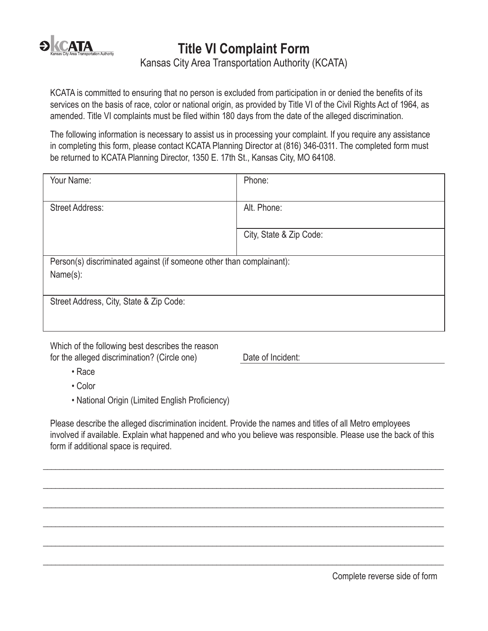

**Title VI Complaint Form**

Kansas City Area Transportation Authority (KCATA)

KCATA is committed to ensuring that no person is excluded from participation in or denied the benefits of its services on the basis of race, color or national origin, as provided by Title VI of the Civil Rights Act of 1964, as amended. Title VI complaints must be filed within 180 days from the date of the alleged discrimination.

The following information is necessary to assist us in processing your complaint. If you require any assistance in completing this form, please contact KCATA Planning Director at (816) 346-0311. The completed form must be returned to KCATA Planning Director, 1350 E. 17th St., Kansas City, MO 64108.

| Your Name:                                                           | Phone:                  |
|----------------------------------------------------------------------|-------------------------|
|                                                                      |                         |
| <b>Street Address:</b>                                               | Alt. Phone:             |
|                                                                      |                         |
|                                                                      | City, State & Zip Code: |
|                                                                      |                         |
| Person(s) discriminated against (if someone other than complainant): |                         |
| Name(s):                                                             |                         |
|                                                                      |                         |
| Street Address, City, State & Zip Code:                              |                         |
|                                                                      |                         |
|                                                                      |                         |

Which of the following best describes the reason for the alleged discrimination? (Circle one) Date of Incident:

- Race
- Color
- National Origin (Limited English Proficiency)

Please describe the alleged discrimination incident. Provide the names and titles of all Metro employees involved if available. Explain what happened and who you believe was responsible. Please use the back of this form if additional space is required.

 $\_$  ,  $\_$  ,  $\_$  ,  $\_$  ,  $\_$  ,  $\_$  ,  $\_$  ,  $\_$  ,  $\_$  ,  $\_$  ,  $\_$  ,  $\_$  ,  $\_$  ,  $\_$  ,  $\_$  ,  $\_$  ,  $\_$  ,  $\_$  ,  $\_$  ,  $\_$  ,  $\_$  ,  $\_$  ,  $\_$  ,  $\_$  ,  $\_$  ,  $\_$  ,  $\_$  ,  $\_$  ,  $\_$  ,  $\_$  ,  $\_$  ,  $\_$  ,  $\_$  ,  $\_$  ,  $\_$  ,  $\_$  ,  $\_$  ,

 $\_$  ,  $\_$  ,  $\_$  ,  $\_$  ,  $\_$  ,  $\_$  ,  $\_$  ,  $\_$  ,  $\_$  ,  $\_$  ,  $\_$  ,  $\_$  ,  $\_$  ,  $\_$  ,  $\_$  ,  $\_$  ,  $\_$  ,  $\_$  ,  $\_$  ,  $\_$  ,  $\_$  ,  $\_$  ,  $\_$  ,  $\_$  ,  $\_$  ,  $\_$  ,  $\_$  ,  $\_$  ,  $\_$  ,  $\_$  ,  $\_$  ,  $\_$  ,  $\_$  ,  $\_$  ,  $\_$  ,  $\_$  ,  $\_$  ,

 $\_$  ,  $\_$  ,  $\_$  ,  $\_$  ,  $\_$  ,  $\_$  ,  $\_$  ,  $\_$  ,  $\_$  ,  $\_$  ,  $\_$  ,  $\_$  ,  $\_$  ,  $\_$  ,  $\_$  ,  $\_$  ,  $\_$  ,  $\_$  ,  $\_$  ,  $\_$  ,  $\_$  ,  $\_$  ,  $\_$  ,  $\_$  ,  $\_$  ,  $\_$  ,  $\_$  ,  $\_$  ,  $\_$  ,  $\_$  ,  $\_$  ,  $\_$  ,  $\_$  ,  $\_$  ,  $\_$  ,  $\_$  ,  $\_$  ,

 $\_$  ,  $\_$  ,  $\_$  ,  $\_$  ,  $\_$  ,  $\_$  ,  $\_$  ,  $\_$  ,  $\_$  ,  $\_$  ,  $\_$  ,  $\_$  ,  $\_$  ,  $\_$  ,  $\_$  ,  $\_$  ,  $\_$  ,  $\_$  ,  $\_$  ,  $\_$  ,  $\_$  ,  $\_$  ,  $\_$  ,  $\_$  ,  $\_$  ,  $\_$  ,  $\_$  ,  $\_$  ,  $\_$  ,  $\_$  ,  $\_$  ,  $\_$  ,  $\_$  ,  $\_$  ,  $\_$  ,  $\_$  ,  $\_$  ,

 $\_$  ,  $\_$  ,  $\_$  ,  $\_$  ,  $\_$  ,  $\_$  ,  $\_$  ,  $\_$  ,  $\_$  ,  $\_$  ,  $\_$  ,  $\_$  ,  $\_$  ,  $\_$  ,  $\_$  ,  $\_$  ,  $\_$  ,  $\_$  ,  $\_$  ,  $\_$  ,  $\_$  ,  $\_$  ,  $\_$  ,  $\_$  ,  $\_$  ,  $\_$  ,  $\_$  ,  $\_$  ,  $\_$  ,  $\_$  ,  $\_$  ,  $\_$  ,  $\_$  ,  $\_$  ,  $\_$  ,  $\_$  ,  $\_$  ,

 $\_$  ,  $\_$  ,  $\_$  ,  $\_$  ,  $\_$  ,  $\_$  ,  $\_$  ,  $\_$  ,  $\_$  ,  $\_$  ,  $\_$  ,  $\_$  ,  $\_$  ,  $\_$  ,  $\_$  ,  $\_$  ,  $\_$  ,  $\_$  ,  $\_$  ,  $\_$  ,  $\_$  ,  $\_$  ,  $\_$  ,  $\_$  ,  $\_$  ,  $\_$  ,  $\_$  ,  $\_$  ,  $\_$  ,  $\_$  ,  $\_$  ,  $\_$  ,  $\_$  ,  $\_$  ,  $\_$  ,  $\_$  ,  $\_$  ,

Complete reverse side of form